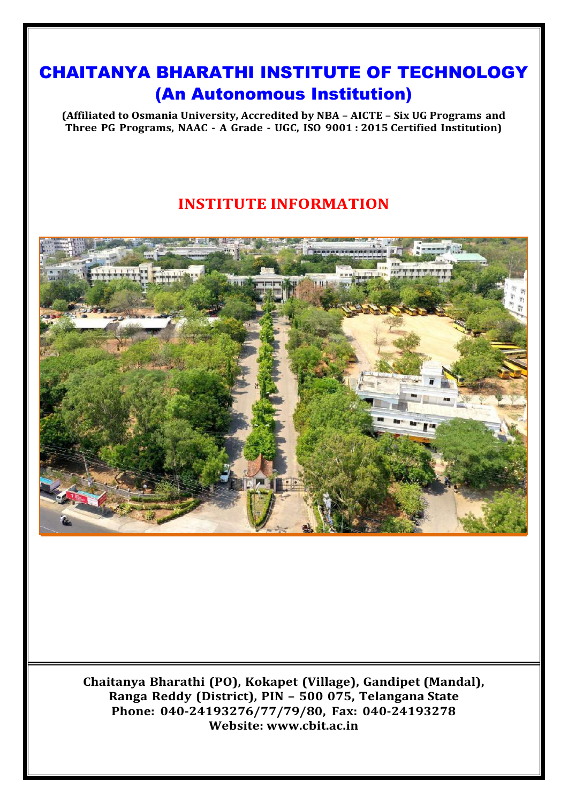# CHAITANYA BHARATHI INSTITUTE OF TECHNOLOGY (An Autonomous Institution)

**(Affiliated to Osmania University, Accredited by NBA – AICTE – Six UG Programs and Three PG Programs, NAAC - A Grade - UGC, ISO 9001 : 2015 Certified Institution)**

# **INSTITUTE INFORMATION**



**Chaitanya Bharathi (PO), Kokapet (Village), Gandipet (Mandal), Ranga Reddy (District), PIN – 500 075, Telangana State Phone: 040-24193276/77/79/80, Fax: 040-24193278 Website: [www.cbit.ac.in](http://www.cbit.ac.in/)**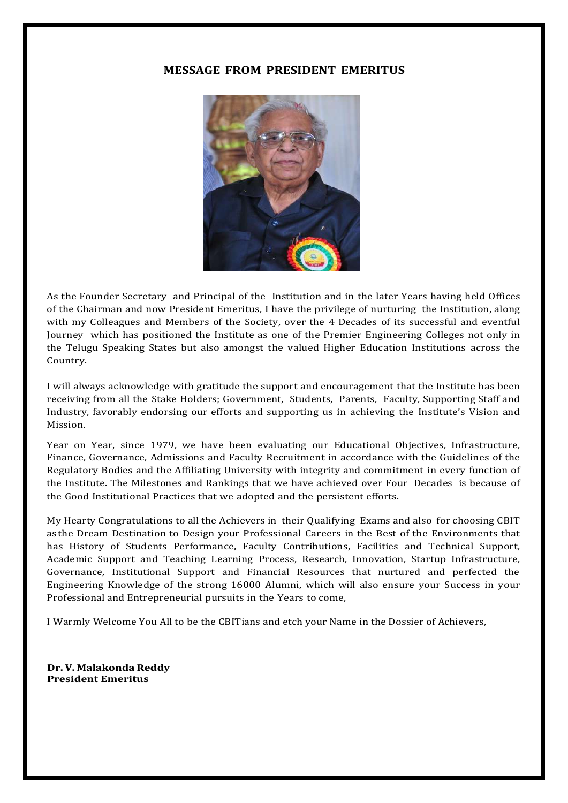# **MESSAGE FROM PRESIDENT EMERITUS**



As the Founder Secretary and Principal of the Institution and in the later Years having held Offices of the Chairman and now President Emeritus, I have the privilege of nurturing the Institution, along with my Colleagues and Members of the Society, over the 4 Decades of its successful and eventful Journey which has positioned the Institute as one of the Premier Engineering Colleges not only in the Telugu Speaking States but also amongst the valued Higher Education Institutions across the Country.

I will always acknowledge with gratitude the support and encouragement that the Institute has been receiving from all the Stake Holders; Government, Students, Parents, Faculty, Supporting Staff and Industry, favorably endorsing our efforts and supporting us in achieving the Institute's Vision and Mission.

Year on Year, since 1979, we have been evaluating our Educational Objectives, Infrastructure, Finance, Governance, Admissions and Faculty Recruitment in accordance with the Guidelines of the Regulatory Bodies and the Affiliating University with integrity and commitment in every function of the Institute. The Milestones and Rankings that we have achieved over Four Decades is because of the Good Institutional Practices that we adopted and the persistent efforts.

My Hearty Congratulations to all the Achievers in their Qualifying Exams and also for choosing CBIT as the Dream Destination to Design your Professional Careers in the Best of the Environments that has History of Students Performance, Faculty Contributions, Facilities and Technical Support, Academic Support and Teaching Learning Process, Research, Innovation, Startup Infrastructure, Governance, Institutional Support and Financial Resources that nurtured and perfected the Engineering Knowledge of the strong 16000 Alumni, which will also ensure your Success in your Professional and Entrepreneurial pursuits in the Years to come,

I Warmly Welcome You All to be the CBITians and etch your Name in the Dossier of Achievers,

**Dr. V. Malakonda Reddy President Emeritus**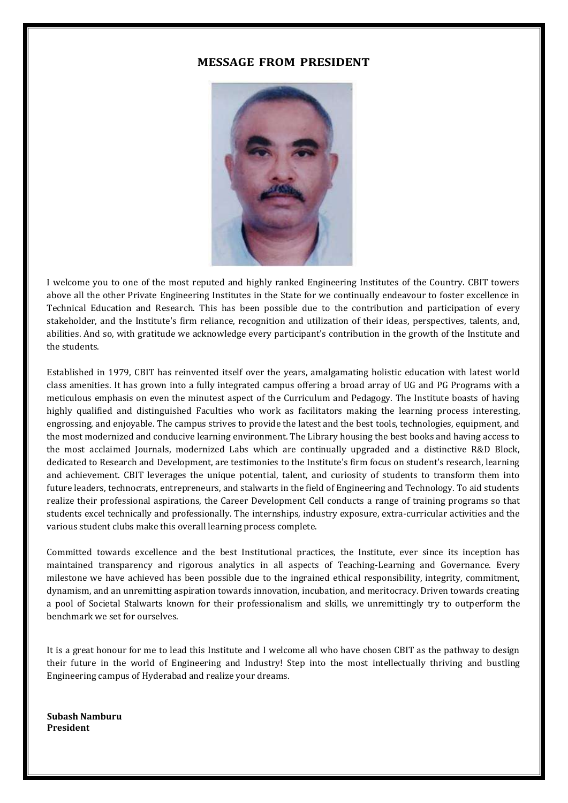# **MESSAGE FROM PRESIDENT**



I welcome you to one of the most reputed and highly ranked Engineering Institutes of the Country. CBIT towers above all the other Private Engineering Institutes in the State for we continually endeavour to foster excellence in Technical Education and Research. This has been possible due to the contribution and participation of every stakeholder, and the Institute's firm reliance, recognition and utilization of their ideas, perspectives, talents, and, abilities. And so, with gratitude we acknowledge every participant's contribution in the growth of the Institute and the students.

Established in 1979, CBIT has reinvented itself over the years, amalgamating holistic education with latest world class amenities. It has grown into a fully integrated campus offering a broad array of UG and PG Programs with a meticulous emphasis on even the minutest aspect of the Curriculum and Pedagogy. The Institute boasts of having highly qualified and distinguished Faculties who work as facilitators making the learning process interesting, engrossing, and enjoyable. The campus strives to provide the latest and the best tools, technologies, equipment, and the most modernized and conducive learning environment. The Library housing the best books and having access to the most acclaimed Journals, modernized Labs which are continually upgraded and a distinctive R&D Block, dedicated to Research and Development, are testimonies to the Institute's firm focus on student's research, learning and achievement. CBIT leverages the unique potential, talent, and curiosity of students to transform them into future leaders, technocrats, entrepreneurs, and stalwarts in the field of Engineering and Technology. To aid students realize their professional aspirations, the Career Development Cell conducts a range of training programs so that students excel technically and professionally. The internships, industry exposure, extra-curricular activities and the various student clubs make this overall learning process complete.

Committed towards excellence and the best Institutional practices, the Institute, ever since its inception has maintained transparency and rigorous analytics in all aspects of Teaching-Learning and Governance. Every milestone we have achieved has been possible due to the ingrained ethical responsibility, integrity, commitment, dynamism, and an unremitting aspiration towards innovation, incubation, and meritocracy. Driven towards creating a pool of Societal Stalwarts known for their professionalism and skills, we unremittingly try to outperform the benchmark we set for ourselves.

It is a great honour for me to lead this Institute and I welcome all who have chosen CBIT as the pathway to design their future in the world of Engineering and Industry! Step into the most intellectually thriving and bustling Engineering campus of Hyderabad and realize your dreams.

**Subash Namburu President**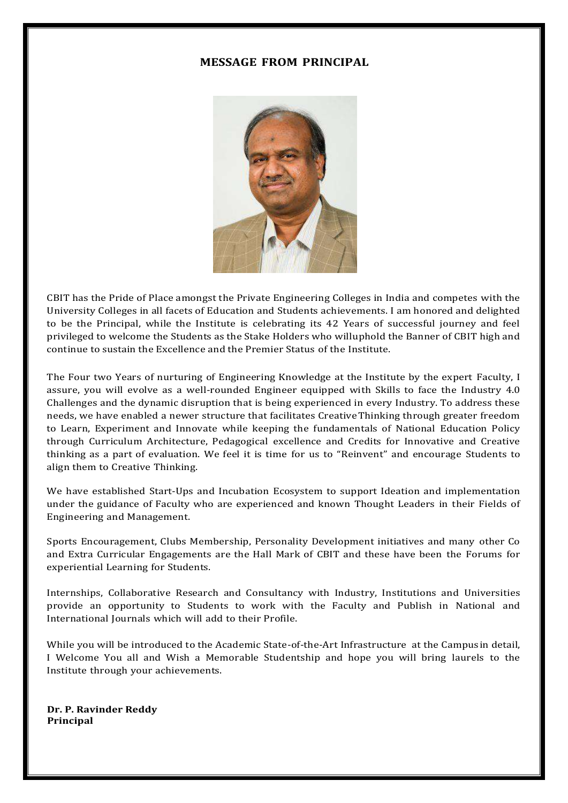# **MESSAGE FROM PRINCIPAL**



CBIT has the Pride of Place amongst the Private Engineering Colleges in India and competes with the University Colleges in all facets of Education and Students achievements. I am honored and delighted to be the Principal, while the Institute is celebrating its 42 Years of successful journey and feel privileged to welcome the Students as the Stake Holders who willuphold the Banner of CBIT high and continue to sustain the Excellence and the Premier Status of the Institute.

The Four two Years of nurturing of Engineering Knowledge at the Institute by the expert Faculty, I assure, you will evolve as a well-rounded Engineer equipped with Skills to face the Industry 4.0 Challenges and the dynamic disruption that is being experienced in every Industry. To address these needs, we have enabled a newer structure that facilitates CreativeThinking through greater freedom to Learn, Experiment and Innovate while keeping the fundamentals of National Education Policy through Curriculum Architecture, Pedagogical excellence and Credits for Innovative and Creative thinking as a part of evaluation. We feel it is time for us to "Reinvent" and encourage Students to align them to Creative Thinking.

We have established Start-Ups and Incubation Ecosystem to support Ideation and implementation under the guidance of Faculty who are experienced and known Thought Leaders in their Fields of Engineering and Management.

Sports Encouragement, Clubs Membership, Personality Development initiatives and many other Co and Extra Curricular Engagements are the Hall Mark of CBIT and these have been the Forums for experiential Learning for Students.

Internships, Collaborative Research and Consultancy with Industry, Institutions and Universities provide an opportunity to Students to work with the Faculty and Publish in National and International Journals which will add to their Profile.

While you will be introduced to the Academic State-of-the-Art Infrastructure at the Campusin detail, I Welcome You all and Wish a Memorable Studentship and hope you will bring laurels to the Institute through your achievements.

**Dr. P. Ravinder Reddy Principal**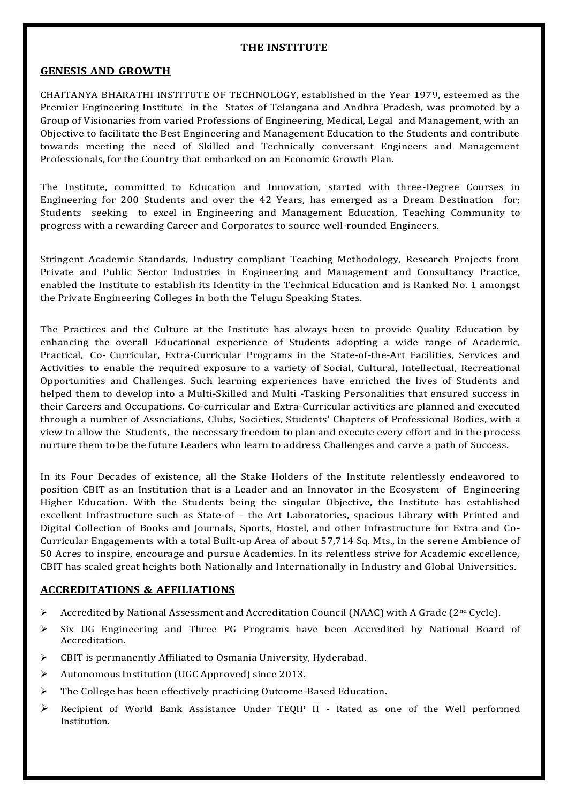#### **THE INSTITUTE**

## **GENESIS AND GROWTH**

CHAITANYA BHARATHI INSTITUTE OF TECHNOLOGY, established in the Year 1979, esteemed as the Premier Engineering Institute in the States of Telangana and Andhra Pradesh, was promoted by a Group of Visionaries from varied Professions of Engineering, Medical, Legal and Management, with an Objective to facilitate the Best Engineering and Management Education to the Students and contribute towards meeting the need of Skilled and Technically conversant Engineers and Management Professionals, for the Country that embarked on an Economic Growth Plan.

The Institute, committed to Education and Innovation, started with three-Degree Courses in Engineering for 200 Students and over the 42 Years, has emerged as a Dream Destination for; Students seeking to excel in Engineering and Management Education, Teaching Community to progress with a rewarding Career and Corporates to source well-rounded Engineers.

Stringent Academic Standards, Industry compliant Teaching Methodology, Research Projects from Private and Public Sector Industries in Engineering and Management and Consultancy Practice, enabled the Institute to establish its Identity in the Technical Education and is Ranked No. 1 amongst the Private Engineering Colleges in both the Telugu Speaking States.

The Practices and the Culture at the Institute has always been to provide Quality Education by enhancing the overall Educational experience of Students adopting a wide range of Academic, Practical, Co- Curricular, Extra-Curricular Programs in the State-of-the-Art Facilities, Services and Activities to enable the required exposure to a variety of Social, Cultural, Intellectual, Recreational Opportunities and Challenges. Such learning experiences have enriched the lives of Students and helped them to develop into a Multi-Skilled and Multi -Tasking Personalities that ensured success in their Careers and Occupations. Co-curricular and Extra-Curricular activities are planned and executed through a number of Associations, Clubs, Societies, Students' Chapters of Professional Bodies, with a view to allow the Students, the necessary freedom to plan and execute every effort and in the process nurture them to be the future Leaders who learn to address Challenges and carve a path of Success.

In its Four Decades of existence, all the Stake Holders of the Institute relentlessly endeavored to position CBIT as an Institution that is a Leader and an Innovator in the Ecosystem of Engineering Higher Education. With the Students being the singular Objective, the Institute has established excellent Infrastructure such as State-of – the Art Laboratories, spacious Library with Printed and Digital Collection of Books and Journals, Sports, Hostel, and other Infrastructure for Extra and Co-Curricular Engagements with a total Built-up Area of about 57,714 Sq. Mts., in the serene Ambience of 50 Acres to inspire, encourage and pursue Academics. In its relentless strive for Academic excellence, CBIT has scaled great heights both Nationally and Internationally in Industry and Global Universities.

# **ACCREDITATIONS & AFFILIATIONS**

- Accredited by National Assessment and Accreditation Council (NAAC) with A Grade ( $2<sup>nd</sup>$  Cycle).
- $\triangleright$  Six UG Engineering and Three PG Programs have been Accredited by National Board of Accreditation.
- CBIT is permanently Affiliated to Osmania University, Hyderabad.
- Autonomous Institution (UGC Approved) since 2013.
- $\triangleright$  The College has been effectively practicing Outcome-Based Education.
- Recipient of World Bank Assistance Under TEQIP II Rated as one of the Well performed Institution.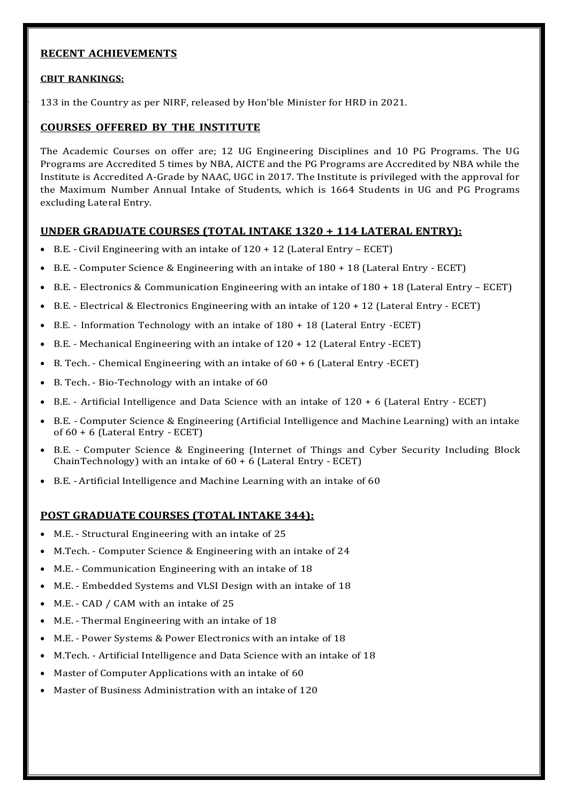# **RECENT ACHIEVEMENTS**

## **CBIT RANKINGS:**

133 in the Country as per NIRF, released by Hon'ble Minister for HRD in 2021.

# **COURSES OFFERED BY THE INSTITUTE**

The Academic Courses on offer are; 12 UG Engineering Disciplines and 10 PG Programs. The UG Programs are Accredited 5 times by NBA, AICTE and the PG Programs are Accredited by NBA while the Institute is Accredited A-Grade by NAAC, UGC in 2017. The Institute is privileged with the approval for the Maximum Number Annual Intake of Students, which is 1664 Students in UG and PG Programs excluding Lateral Entry.

# **UNDER GRADUATE COURSES (TOTAL INTAKE 1320 + 114 LATERAL ENTRY):**

- $\bullet$  B.E. Civil Engineering with an intake of  $120 + 12$  (Lateral Entry ECET)
- B.E. Computer Science & Engineering with an intake of 180 + 18 (Lateral Entry ECET)
- B.E. Electronics & Communication Engineering with an intake of 180 + 18 (Lateral Entry ECET)
- $\bullet$  B.E. Electrical & Electronics Engineering with an intake of 120 + 12 (Lateral Entry ECET)
- B.E. Information Technology with an intake of 180 + 18 (Lateral Entry -ECET)
- B.E. Mechanical Engineering with an intake of 120 + 12 (Lateral Entry -ECET)
- B. Tech. Chemical Engineering with an intake of 60 + 6 (Lateral Entry -ECET)
- B. Tech. Bio-Technology with an intake of 60
- B.E. Artificial Intelligence and Data Science with an intake of 120 + 6 (Lateral Entry ECET)
- B.E. Computer Science & Engineering (Artificial Intelligence and Machine Learning) with an intake of 60 + 6 (Lateral Entry - ECET)
- B.E. Computer Science & Engineering (Internet of Things and Cyber Security Including Block ChainTechnology) with an intake of 60 + 6 (Lateral Entry - ECET)
- B.E. Artificial Intelligence and Machine Learning with an intake of 60

## **POST GRADUATE COURSES (TOTAL INTAKE 344):**

- M.E. Structural Engineering with an intake of 25
- M.Tech. Computer Science & Engineering with an intake of 24
- M.E. Communication Engineering with an intake of 18
- M.E. Embedded Systems and VLSI Design with an intake of 18
- M.E. CAD / CAM with an intake of 25
- M.E. Thermal Engineering with an intake of 18
- M.E. Power Systems & Power Electronics with an intake of 18
- M.Tech. Artificial Intelligence and Data Science with an intake of 18
- Master of Computer Applications with an intake of 60
- Master of Business Administration with an intake of 120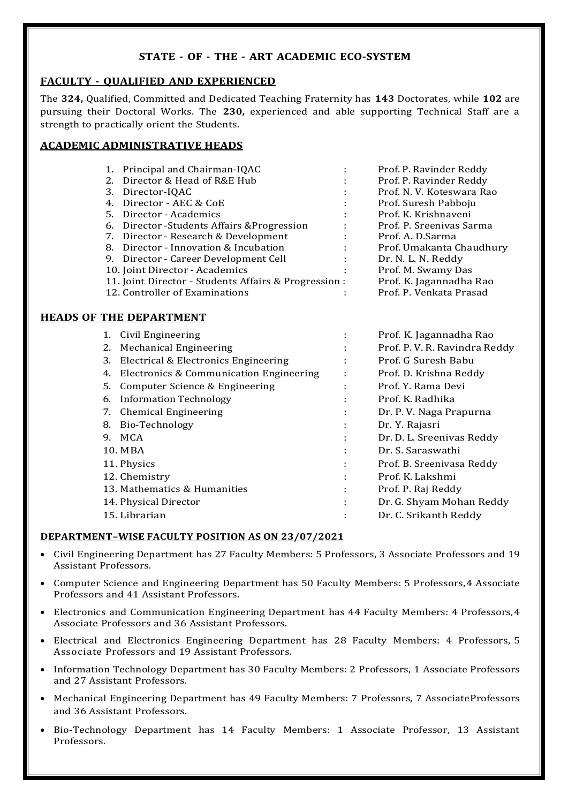# **STATE - OF - THE - ART ACADEMIC ECO-SYSTEM**

# **FACULTY - QUALIFIED AND EXPERIENCED**

The **324,** Qualified, Committed and Dedicated Teaching Fraternity has **143** Doctorates, while **102** are pursuing their Doctoral Works. The **230,** experienced and able supporting Technical Staff are a strength to practically orient the Students.

# **ACADEMIC ADMINISTRATIVE HEADS**

|  | 1. Principal and Chairman-IQAC                        | ÷            | Prof. P. Ravinder Reddy   |
|--|-------------------------------------------------------|--------------|---------------------------|
|  | 2. Director & Head of R&E Hub                         | ÷            | Prof. P. Ravinder Reddy   |
|  | 3. Director-IQAC                                      |              | Prof. N. V. Koteswara Rao |
|  | 4. Director - AEC & CoE                               | ÷            | Prof. Suresh Pabboju      |
|  | 5. Director - Academics                               | ÷            | Prof. K. Krishnaveni      |
|  | 6. Director - Students Affairs & Progression          | $\mathbf{L}$ | Prof. P. Sreenivas Sarma  |
|  | 7. Director - Research & Development                  | ÷            | Prof. A. D. Sarma         |
|  | 8. Director - Innovation & Incubation                 | ÷            | Prof. Umakanta Chaudhury  |
|  | 9. Director - Career Development Cell                 | ÷            | Dr. N. L. N. Reddy        |
|  | 10. Joint Director - Academics                        | ÷            | Prof. M. Swamy Das        |
|  | 11. Joint Director - Students Affairs & Progression : |              | Prof. K. Jagannadha Rao   |
|  | 12. Controller of Examinations                        | ÷            | Prof. P. Venkata Prasad   |
|  |                                                       |              |                           |

# **HEADS OF THE DEPARTMENT**

| 1. | Civil Engineering                       |   | Prof. K. Jagannadha Rao       |
|----|-----------------------------------------|---|-------------------------------|
| 2. | <b>Mechanical Engineering</b>           |   | Prof. P. V. R. Ravindra Reddy |
| 3. | Electrical & Electronics Engineering    |   | Prof. G Suresh Babu           |
| 4. | Electronics & Communication Engineering |   | Prof. D. Krishna Reddy        |
| 5. | Computer Science & Engineering          |   | Prof. Y. Rama Devi            |
| 6. | Information Technology                  | ٠ | Prof. K. Radhika              |
| 7. | <b>Chemical Engineering</b>             | ÷ | Dr. P. V. Naga Prapurna       |
| 8. | Bio-Technology                          | ٠ | Dr. Y. Rajasri                |
| 9. | MCA                                     | ÷ | Dr. D. L. Sreenivas Reddy     |
|    | 10. MBA                                 |   | Dr. S. Saraswathi             |
|    | 11. Physics                             |   | Prof. B. Sreenivasa Reddy     |
|    | 12. Chemistry                           |   | Prof. K. Lakshmi              |
|    | 13. Mathematics & Humanities            | ÷ | Prof. P. Raj Reddy            |
|    | 14. Physical Director                   | ٠ | Dr. G. Shyam Mohan Reddy      |
|    | 15. Librarian                           | ٠ | Dr. C. Srikanth Reddy         |
|    |                                         |   |                               |

## **DEPARTMENT–WISE FACULTY POSITION AS ON 23/07/2021**

- Civil Engineering Department has 27 Faculty Members: 5 Professors, 3 Associate Professors and 19 Assistant Professors.
- Computer Science and Engineering Department has 50 Faculty Members: 5 Professors,4 Associate Professors and 41 Assistant Professors.
- Electronics and Communication Engineering Department has 44 Faculty Members: 4 Professors,4 Associate Professors and 36 Assistant Professors.
- Electrical and Electronics Engineering Department has 28 Faculty Members: 4 Professors, 5 Associate Professors and 19 Assistant Professors.
- Information Technology Department has 30 Faculty Members: 2 Professors, 1 Associate Professors and 27 Assistant Professors.
- Mechanical Engineering Department has 49 Faculty Members: 7 Professors, 7 Associate Professors and 36 Assistant Professors.
- Bio-Technology Department has 14 Faculty Members: 1 Associate Professor, 13 Assistant Professors.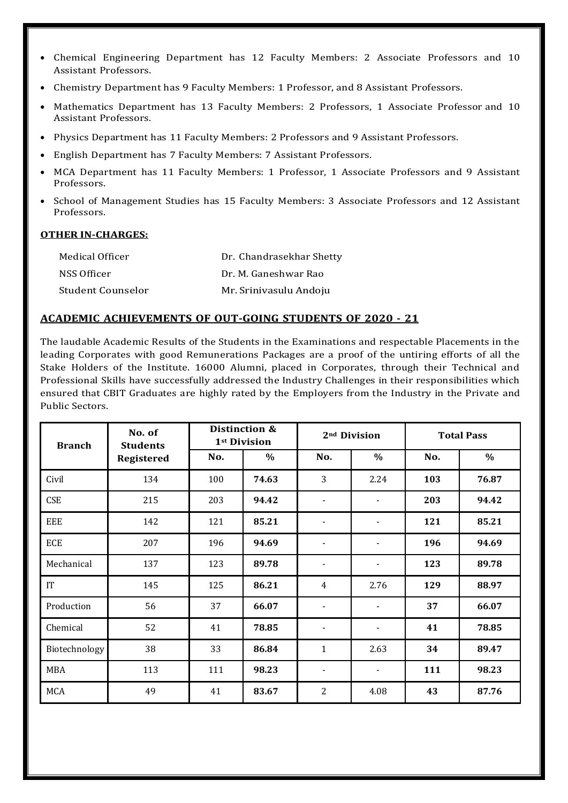- Chemical Engineering Department has 12 Faculty Members: 2 Associate Professors and 10 Assistant Professors.
- Chemistry Department has 9 Faculty Members: 1 Professor, and 8 Assistant Professors.
- Mathematics Department has 13 Faculty Members: 2 Professors, 1 Associate Professor and 10 Assistant Professors.
- Physics Department has 11 Faculty Members: 2 Professors and 9 Assistant Professors.
- English Department has 7 Faculty Members: 7 Assistant Professors.
- MCA Department has 11 Faculty Members: 1 Professor, 1 Associate Professors and 9 Assistant Professors.
- School of Management Studies has 15 Faculty Members: 3 Associate Professors and 12 Assistant Professors.

#### **OTHER IN-CHARGES:**

| Medical Officer   | Dr. Chandrasekhar Shetty |
|-------------------|--------------------------|
| NSS Officer       | Dr. M. Ganeshwar Rao     |
| Student Counselor | Mr. Srinivasulu Andoju   |

## **ACADEMIC ACHIEVEMENTS OF OUT-GOING STUDENTS OF 2020 - 21**

The laudable Academic Results of the Students in the Examinations and respectable Placements in the leading Corporates with good Remunerations Packages are a proof of the untiring efforts of all the Stake Holders of the Institute. 16000 Alumni, placed in Corporates, through their Technical and Professional Skills have successfully addressed the Industry Challenges in their responsibilities which ensured that CBIT Graduates are highly rated by the Employers from the Industry in the Private and Public Sectors.

| <b>Branch</b>              | No. of<br><b>Students</b> |     | Distinction &<br>2 <sup>nd</sup> Division<br>1st Division |                          |                          | <b>Total Pass</b> |       |
|----------------------------|---------------------------|-----|-----------------------------------------------------------|--------------------------|--------------------------|-------------------|-------|
|                            | <b>Registered</b>         | No. | $\%$                                                      | No.                      | $\%$                     | No.               | %     |
| Civil                      | 134                       | 100 | 74.63                                                     | 3                        | 2.24                     | 103               | 76.87 |
| <b>CSE</b>                 | 215                       | 203 | 94.42                                                     | $\overline{\phantom{a}}$ | $\overline{\phantom{a}}$ | 203               | 94.42 |
| EEE                        | 142                       | 121 | 85.21                                                     | $\blacksquare$           |                          | 121               | 85.21 |
| ECE                        | 207                       | 196 | 94.69                                                     | $\overline{\phantom{a}}$ | $\overline{\phantom{a}}$ | 196               | 94.69 |
| Mechanical                 | 137                       | 123 | 89.78                                                     |                          | $\overline{\phantom{a}}$ | 123               | 89.78 |
| $\ensuremath{\mathsf{IT}}$ | 145                       | 125 | 86.21                                                     | 4                        | 2.76                     | 129               | 88.97 |
| Production                 | 56                        | 37  | 66.07                                                     | $\overline{\phantom{a}}$ | $\overline{a}$           | 37                | 66.07 |
| Chemical                   | 52                        | 41  | 78.85                                                     | $\overline{\phantom{a}}$ | $\overline{\phantom{a}}$ | 41                | 78.85 |
| Biotechnology              | 38                        | 33  | 86.84                                                     | $\mathbf{1}$             | 2.63                     | 34                | 89.47 |
| <b>MBA</b>                 | 113                       | 111 | 98.23                                                     | $\overline{\phantom{a}}$ | $\overline{\phantom{a}}$ | 111               | 98.23 |
| <b>MCA</b>                 | 49                        | 41  | 83.67                                                     | $\overline{2}$           | 4.08                     | 43                | 87.76 |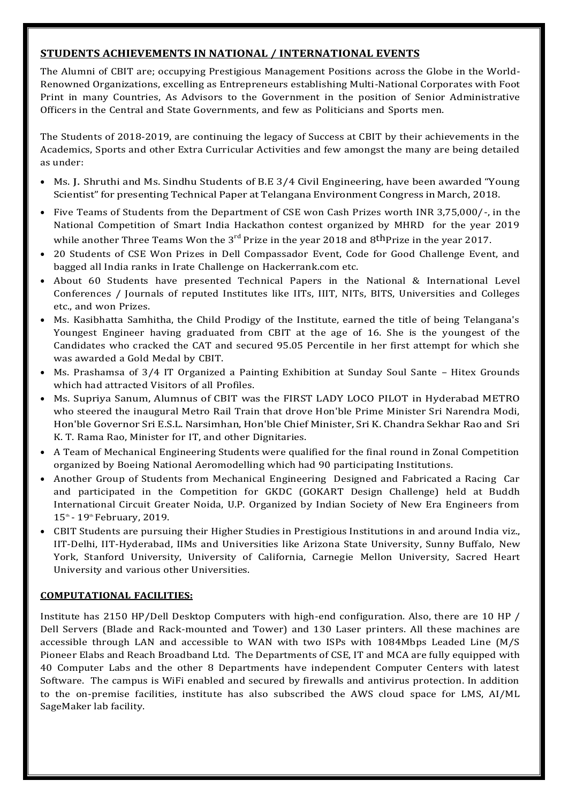# **STUDENTS ACHIEVEMENTS IN NATIONAL / INTERNATIONAL EVENTS**

The Alumni of CBIT are; occupying Prestigious Management Positions across the Globe in the World-Renowned Organizations, excelling as Entrepreneurs establishing Multi-National Corporates with Foot Print in many Countries, As Advisors to the Government in the position of Senior Administrative Officers in the Central and State Governments, and few as Politicians and Sports men.

The Students of 2018-2019, are continuing the legacy of Success at CBIT by their achievements in the Academics, Sports and other Extra Curricular Activities and few amongst the many are being detailed as under:

- Ms. J. Shruthi and Ms. Sindhu Students of B.E 3/4 Civil Engineering, have been awarded "Young Scientist" for presenting Technical Paper at Telangana Environment Congress in March, 2018.
- Five Teams of Students from the Department of CSE won Cash Prizes worth INR 3,75,000/-, in the National Competition of Smart India Hackathon contest organized by MHRD for the year 2019 while another Three Teams Won the  $3^{\rm rd}$  Prize in the year 2018 and  $8^{\rm th}$ Prize in the year 2017.
- 20 Students of CSE Won Prizes in Dell Compassador Event, Code for Good Challenge Event, and bagged all India ranks in Irate Challenge on Hackerrank.com etc.
- About 60 Students have presented Technical Papers in the National & International Level Conferences / Journals of reputed Institutes like IITs, IIIT, NITs, BITS, Universities and Colleges etc., and won Prizes.
- Ms. Kasibhatta Samhitha, the Child Prodigy of the Institute, earned the title of being Telangana's Youngest Engineer having graduated from CBIT at the age of 16. She is the youngest of the Candidates who cracked the CAT and secured 95.05 Percentile in her first attempt for which she was awarded a Gold Medal by CBIT.
- Ms. Prashamsa of 3/4 IT Organized a Painting Exhibition at Sunday Soul Sante Hitex Grounds which had attracted Visitors of all Profiles.
- Ms. Supriya [Sanum, Alumnus of CBIT was the FIRST LADY LOCO PILOT](http://202.65.141.233/cbit/sites/default/files/file_upload/Supriya%20sanam%20Metro%20driver%20MTech.jpg%23overlay-context%3Dmech/students%3Fq%3Dmech/students) in Hyderabad METRO who steered the inaugural Metro Rail Train that drove Hon'ble Prime Minister Sri Narendra Modi, Hon'ble Governor Sri E.S.L. Narsimhan, Hon'ble Chief Minister, Sri K. Chandra Sekhar Rao and Sri K. T. Rama Rao, Minister for IT, and other Dignitaries.
- A Team of Mechanical Engineering Students were qualified for the final round in Zonal Competition organized by Boeing National Aeromodelling which had 90 participating Institutions.
- Another Group of Students from Mechanical Engineering Designed and Fabricated a Racing Car and participated in the Competition for GKDC (GOKART Design Challenge) held at Buddh International Circuit Greater Noida, U.P. Organized by Indian Society of New Era Engineers from 15<sup>th</sup> - 19<sup>th</sup> February, 2019.
- CBIT Students are pursuing their Higher Studies in Prestigious Institutions in and around India viz., IIT-Delhi, IIT-Hyderabad, IIMs and Universities like Arizona State University, Sunny Buffalo, New York, Stanford University, University of California, Carnegie Mellon University, Sacred Heart University and various other Universities.

# **COMPUTATIONAL FACILITIES:**

Institute has 2150 HP/Dell Desktop Computers with high-end configuration. Also, there are 10 HP / Dell Servers (Blade and Rack-mounted and Tower) and 130 Laser printers. All these machines are accessible through LAN and accessible to WAN with two ISPs with 1084Mbps Leaded Line (M/S Pioneer Elabs and Reach Broadband Ltd. The Departments of CSE, IT and MCA are fully equipped with 40 Computer Labs and the other 8 Departments have independent Computer Centers with latest Software. The campus is WiFi enabled and secured by firewalls and antivirus protection. In addition to the on-premise facilities, institute has also subscribed the AWS cloud space for LMS, AI/ML SageMaker lab facility.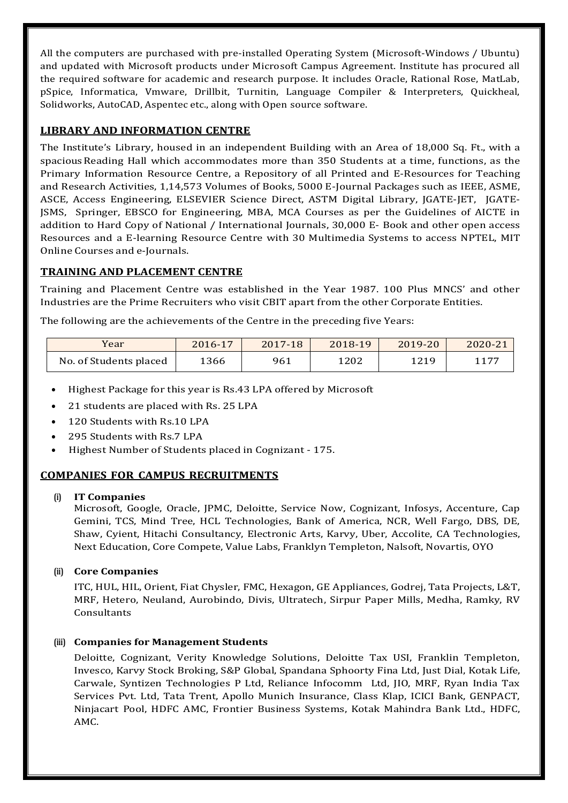All the computers are purchased with pre-installed Operating System (Microsoft-Windows / Ubuntu) and updated with Microsoft products under Microsoft Campus Agreement. Institute has procured all the required software for academic and research purpose. It includes Oracle, Rational Rose, MatLab, pSpice, Informatica, Vmware, Drillbit, Turnitin, Language Compiler & Interpreters, Quickheal, Solidworks, AutoCAD, Aspentec etc., along with Open source software.

# **LIBRARY AND INFORMATION CENTRE**

The Institute's Library, housed in an independent Building with an Area of 18,000 Sq. Ft., with a spaciousReading Hall which accommodates more than 350 Students at a time, functions, as the Primary Information Resource Centre, a Repository of all Printed and E-Resources for Teaching and Research Activities, 1,14,573 Volumes of Books, 5000 E-Journal Packages such as IEEE, ASME, ASCE, Access Engineering, ELSEVIER Science Direct, ASTM Digital Library, JGATE-JET, JGATE-JSMS, Springer, EBSCO for Engineering, MBA, MCA Courses as per the Guidelines of AICTE in addition to Hard Copy of National / International Journals, 30,000 E- Book and other open access Resources and a E-learning Resource Centre with 30 Multimedia Systems to access NPTEL, MIT Online Courses and e-Journals.

# **TRAINING AND PLACEMENT CENTRE**

Training and Placement Centre was established in the Year 1987. 100 Plus MNCS' and other Industries are the Prime Recruiters who visit CBIT apart from the other Corporate Entities.

The following are the achievements of the Centre in the preceding five Years:

| Year                   | 2016-17 | 2017-18 | 2018-19 | $2019 - 20$ | 2020-21 |
|------------------------|---------|---------|---------|-------------|---------|
| No. of Students placed | 1366    | 961     | 1202    | 1219        | 1177    |

- Highest Package for this year is Rs.43 LPA offered by Microsoft
- 21 students are placed with Rs. 25 LPA
- 120 Students with Rs.10 LPA
- 295 Students with Rs.7 LPA
- Highest Number of Students placed in Cognizant 175.

# **COMPANIES FOR CAMPUS RECRUITMENTS**

## **(i) IT Companies**

Microsoft, Google, Oracle, JPMC, Deloitte, Service Now, Cognizant, Infosys, Accenture, Cap Gemini, TCS, Mind Tree, HCL Technologies, Bank of America, NCR, Well Fargo, DBS, DE, Shaw, Cyient, Hitachi Consultancy, Electronic Arts, Karvy, Uber, Accolite, CA Technologies, Next Education, Core Compete, Value Labs, Franklyn Templeton, Nalsoft, Novartis, OYO

## **(ii) Core Companies**

ITC, HUL, HIL, Orient, Fiat Chysler, FMC, Hexagon, GE Appliances, Godrej, Tata Projects, L&T, MRF, Hetero, Neuland, Aurobindo, Divis, Ultratech, Sirpur Paper Mills, Medha, Ramky, RV **Consultants** 

## **(iii) Companies for Management Students**

Deloitte, Cognizant, Verity Knowledge Solutions, Deloitte Tax USI, Franklin Templeton, Invesco, Karvy Stock Broking, S&P Global, Spandana Sphoorty Fina Ltd, Just Dial, Kotak Life, Carwale, Syntizen Technologies P Ltd, Reliance Infocomm Ltd, JIO, MRF, Ryan India Tax Services Pvt. Ltd, Tata Trent, Apollo Munich Insurance, Class Klap, ICICI Bank, GENPACT, Ninjacart Pool, HDFC AMC, Frontier Business Systems, Kotak Mahindra Bank Ltd., HDFC, AMC.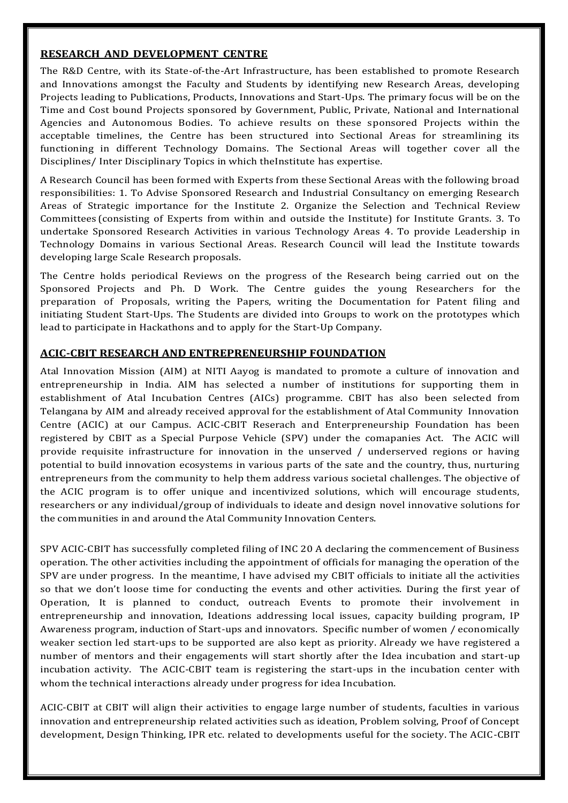# **RESEARCH AND DEVELOPMENT CENTRE**

The R&D Centre, with its State-of-the-Art Infrastructure, has been established to promote Research and Innovations amongst the Faculty and Students by identifying new Research Areas, developing Projects leading to Publications, Products, Innovations and Start-Ups. The primary focus will be on the Time and Cost bound Projects sponsored by Government, Public, Private, National and International Agencies and Autonomous Bodies. To achieve results on these sponsored Projects within the acceptable timelines, the Centre has been structured into Sectional Areas for streamlining its functioning in different Technology Domains. The Sectional Areas will together cover all the Disciplines/ Inter Disciplinary Topics in which theInstitute has expertise.

A Research Council has been formed with Experts from these Sectional Areas with the following broad responsibilities: 1. To Advise Sponsored Research and Industrial Consultancy on emerging Research Areas of Strategic importance for the Institute 2. Organize the Selection and Technical Review Committees (consisting of Experts from within and outside the Institute) for Institute Grants. 3. To undertake Sponsored Research Activities in various Technology Areas 4. To provide Leadership in Technology Domains in various Sectional Areas. Research Council will lead the Institute towards developing large Scale Research proposals.

The Centre holds periodical Reviews on the progress of the Research being carried out on the Sponsored Projects and Ph. D Work. The Centre guides the young Researchers for the preparation of Proposals, writing the Papers, writing the Documentation for Patent filing and initiating Student Start-Ups. The Students are divided into Groups to work on the prototypes which lead to participate in Hackathons and to apply for the Start-Up Company.

# **ACIC-CBIT RESEARCH AND ENTREPRENEURSHIP FOUNDATION**

Atal Innovation Mission (AIM) at NITI Aayog is mandated to promote a culture of innovation and entrepreneurship in India. AIM has selected a number of institutions for supporting them in establishment of Atal Incubation Centres (AICs) programme. CBIT has also been selected from Telangana by AIM and already received approval for the establishment of Atal Community Innovation Centre (ACIC) at our Campus. ACIC-CBIT Reserach and Enterpreneurship Foundation has been registered by CBIT as a Special Purpose Vehicle (SPV) under the comapanies Act. The ACIC will provide requisite infrastructure for innovation in the unserved / underserved regions or having potential to build innovation ecosystems in various parts of the sate and the country, thus, nurturing entrepreneurs from the community to help them address various societal challenges. The objective of the ACIC program is to offer unique and incentivized solutions, which will encourage students, researchers or any individual/group of individuals to ideate and design novel innovative solutions for the communities in and around the Atal Community Innovation Centers.

SPV ACIC-CBIT has successfully completed filing of INC 20 A declaring the commencement of Business operation. The other activities including the appointment of officials for managing the operation of the SPV are under progress. In the meantime, I have advised my CBIT officials to initiate all the activities so that we don't loose time for conducting the events and other activities. During the first year of Operation, It is planned to conduct, outreach Events to promote their involvement in entrepreneurship and innovation, Ideations addressing local issues, capacity building program, IP Awareness program, induction of Start-ups and innovators. Specific number of women / economically weaker section led start-ups to be supported are also kept as priority. Already we have registered a number of mentors and their engagements will start shortly after the Idea incubation and start-up incubation activity. The ACIC-CBIT team is registering the start-ups in the incubation center with whom the technical interactions already under progress for idea Incubation.

ACIC-CBIT at CBIT will align their activities to engage large number of students, faculties in various innovation and entrepreneurship related activities such as ideation, Problem solving, Proof of Concept development, Design Thinking, IPR etc. related to developments useful for the society. The ACIC-CBIT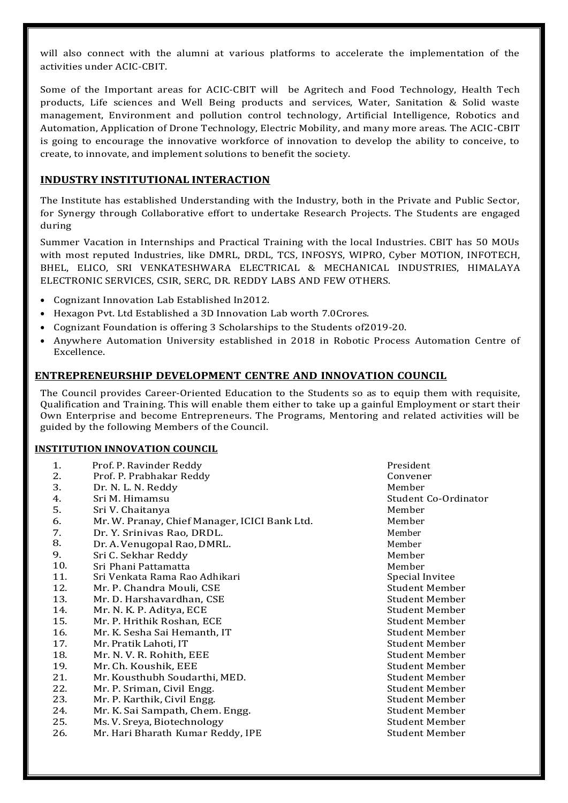will also connect with the alumni at various platforms to accelerate the implementation of the activities under ACIC-CBIT.

Some of the Important areas for ACIC-CBIT will be Agritech and Food Technology, Health Tech products, Life sciences and Well Being products and services, Water, Sanitation & Solid waste management, Environment and pollution control technology, Artificial Intelligence, Robotics and Automation, Application of Drone Technology, Electric Mobility, and many more areas. The ACIC-CBIT is going to encourage the innovative workforce of innovation to develop the ability to conceive, to create, to innovate, and implement solutions to benefit the society.

# **INDUSTRY INSTITUTIONAL INTERACTION**

The Institute has established Understanding with the Industry, both in the Private and Public Sector, for Synergy through Collaborative effort to undertake Research Projects. The Students are engaged during

Summer Vacation in Internships and Practical Training with the local Industries. CBIT has 50 MOUs with most reputed Industries, like DMRL, DRDL, TCS, INFOSYS, WIPRO, Cyber MOTION, INFOTECH, BHEL, ELICO, SRI VENKATESHWARA ELECTRICAL & MECHANICAL INDUSTRIES, HIMALAYA ELECTRONIC SERVICES, CSIR, SERC, DR. REDDY LABS AND FEW OTHERS.

- Cognizant Innovation Lab Established In2012.
- Hexagon Pvt. Ltd Established a 3D Innovation Lab worth 7.0Crores.
- Cognizant Foundation is offering 3 Scholarships to the Students of2019-20.
- Anywhere Automation University established in 2018 in Robotic Process Automation Centre of Excellence.

## **ENTREPRENEURSHIP DEVELOPMENT CENTRE AND INNOVATION COUNCIL**

The Council provides Career-Oriented Education to the Students so as to equip them with requisite, Qualification and Training. This will enable them either to take up a gainful Employment or start their Own Enterprise and become Entrepreneurs. The Programs, Mentoring and related activities will be guided by the following Members of the Council.

#### **INSTITUTION INNOVATION COUNCIL**

| 1.  | Prof. P. Ravinder Reddy                       | President             |
|-----|-----------------------------------------------|-----------------------|
| 2.  | Prof. P. Prabhakar Reddy                      | Convener              |
| 3.  | Dr. N. L. N. Reddy                            | Member                |
| 4.  | Sri M. Himamsu                                | Student Co-Ordinator  |
| 5.  | Sri V. Chaitanya                              | Member                |
| 6.  | Mr. W. Pranay, Chief Manager, ICICI Bank Ltd. | Member                |
| 7.  | Dr. Y. Srinivas Rao, DRDL.                    | Member                |
| 8.  | Dr. A. Venugopal Rao, DMRL.                   | Member                |
| 9.  | Sri C. Sekhar Reddy                           | Member                |
| 10. | Sri Phani Pattamatta                          | Member                |
| 11. | Sri Venkata Rama Rao Adhikari                 | Special Invitee       |
| 12. | Mr. P. Chandra Mouli, CSE                     | <b>Student Member</b> |
| 13. | Mr. D. Harshavardhan, CSE                     | Student Member        |
| 14. | Mr. N. K. P. Aditya, ECE                      | Student Member        |
| 15. | Mr. P. Hrithik Roshan, ECE                    | Student Member        |
| 16. | Mr. K. Sesha Sai Hemanth, IT                  | Student Member        |
| 17. | Mr. Pratik Lahoti, IT                         | Student Member        |
| 18. | Mr. N. V. R. Rohith, EEE                      | Student Member        |
| 19. | Mr. Ch. Koushik, EEE                          | Student Member        |
| 21. | Mr. Kousthubh Soudarthi, MED.                 | Student Member        |
| 22. | Mr. P. Sriman, Civil Engg.                    | Student Member        |
| 23. | Mr. P. Karthik, Civil Engg.                   | Student Member        |
| 24. | Mr. K. Sai Sampath, Chem. Engg.               | <b>Student Member</b> |
| 25. | Ms. V. Sreya, Biotechnology                   | <b>Student Member</b> |
| 26. | Mr. Hari Bharath Kumar Reddy, IPE             | <b>Student Member</b> |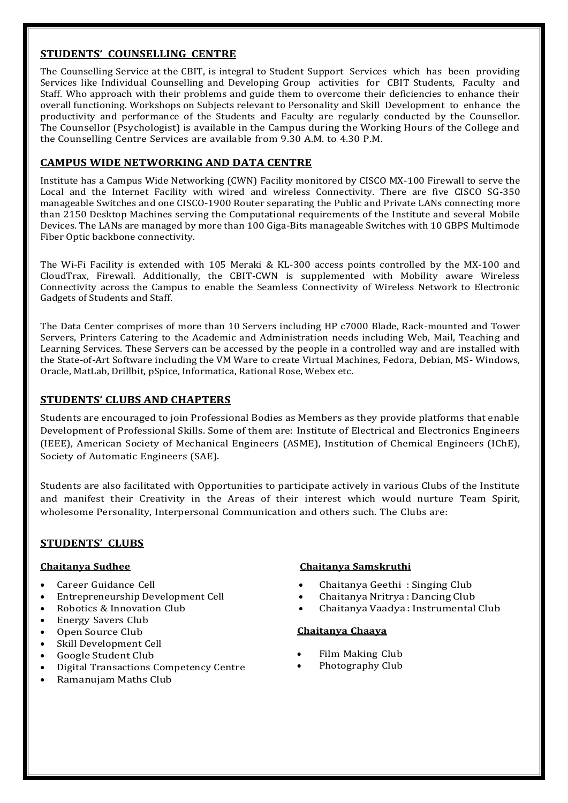# **STUDENTS' COUNSELLING CENTRE**

The Counselling Service at the CBIT, is integral to Student Support Services which has been providing Services like Individual Counselling and Developing Group activities for CBIT Students, Faculty and Staff. Who approach with their problems and guide them to overcome their deficiencies to enhance their overall functioning. Workshops on Subjects relevant to Personality and Skill Development to enhance the productivity and performance of the Students and Faculty are regularly conducted by the Counsellor. The Counsellor (Psychologist) is available in the Campus during the Working Hours of the College and the Counselling Centre Services are available from 9.30 A.M. to 4.30 P.M.

# **CAMPUS WIDE NETWORKING AND DATA CENTRE**

Institute has a Campus Wide Networking (CWN) Facility monitored by CISCO MX-100 Firewall to serve the Local and the Internet Facility with wired and wireless Connectivity. There are five CISCO SG-350 manageable Switches and one CISCO-1900 Router separating the Public and Private LANs connecting more than 2150 Desktop Machines serving the Computational requirements of the Institute and several Mobile Devices. The LANs are managed by more than 100 Giga-Bits manageable Switches with 10 GBPS Multimode Fiber Optic backbone connectivity.

The Wi-Fi Facility is extended with 105 Meraki & KL-300 access points controlled by the MX-100 and CloudTrax, Firewall. Additionally, the CBIT-CWN is supplemented with Mobility aware Wireless Connectivity across the Campus to enable the Seamless Connectivity of Wireless Network to Electronic Gadgets of Students and Staff.

The Data Center comprises of more than 10 Servers including HP c7000 Blade, Rack-mounted and Tower Servers, Printers Catering to the Academic and Administration needs including Web, Mail, Teaching and Learning Services. These Servers can be accessed by the people in a controlled way and are installed with the State-of-Art Software including the VM Ware to create Virtual Machines, Fedora, Debian, MS- Windows, Oracle, MatLab, Drillbit, pSpice, Informatica, Rational Rose, Webex etc.

# **STUDENTS' CLUBS AND CHAPTERS**

Students are encouraged to join Professional Bodies as Members as they provide platforms that enable Development of Professional Skills. Some of them are: Institute of Electrical and Electronics Engineers (IEEE), American Society of Mechanical Engineers (ASME), Institution of Chemical Engineers (IChE), Society of Automatic Engineers (SAE).

Students are also facilitated with Opportunities to participate actively in various Clubs of the Institute and manifest their Creativity in the Areas of their interest which would nurture Team Spirit, wholesome Personality, Interpersonal Communication and others such. The Clubs are:

# **STUDENTS' CLUBS**

- Career Guidance Cell
- Entrepreneurship Development Cell
- Robotics & Innovation Club
- Energy Savers Club
- Open Source Club
- Skill Development Cell
- Google Student Club
- Digital Transactions Competency Centre
- Ramanujam Maths Club

## **Chaitanya Sudhee Chaitanya Samskruthi**

- Chaitanya Geethi : Singing Club
- Chaitanya Nritrya : Dancing Club
- Chaitanya Vaadya : Instrumental Club

#### **Chaitanya Chaaya**

- Film Making Club
- Photography Club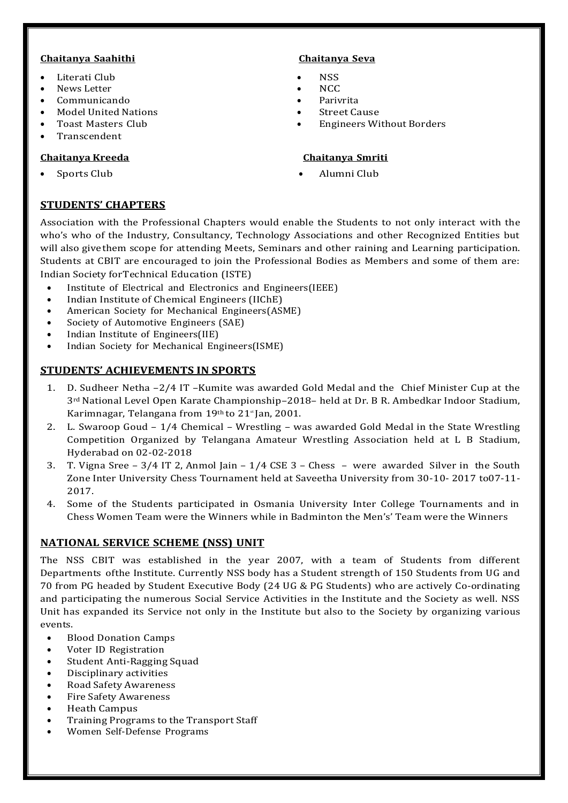# **Chaitanya Saahithi Chaitanya Seva**

- Literati Club
- News Letter
- Communicando
- Model United Nations
- Toast Masters Club
- Transcendent

# **Chaitanya Kreeda Chaitanya Smriti**

- **NSS**
- **NCC**
- Parivrita
- Street Cause
- Engineers Without Borders

Sports Club **Alumni Club** 

# **STUDENTS' CHAPTERS**

Association with the Professional Chapters would enable the Students to not only interact with the who's who of the Industry, Consultancy, Technology Associations and other Recognized Entities but will also givethem scope for attending Meets, Seminars and other raining and Learning participation. Students at CBIT are encouraged to join the Professional Bodies as Members and some of them are: Indian Society forTechnical Education (ISTE)

- Institute of Electrical and Electronics and Engineers(IEEE)
- Indian Institute of Chemical Engineers (IIChE)
- American Society for Mechanical Engineers(ASME)
- Society of Automotive Engineers (SAE)
- Indian Institute of Engineers(IIE)
- Indian Society for Mechanical Engineers(ISME)

# **STUDENTS' ACHIEVEMENTS IN SPORTS**

- 1. D. Sudheer Netha –2/4 IT –Kumite was awarded Gold Medal and the Chief Minister Cup at the 3rd National Level Open Karate Championship–2018– held at Dr. B R. Ambedkar Indoor Stadium, Karimnagar, Telangana from  $19<sup>th</sup>$  to  $21<sup>*</sup>$  Jan, 2001.
- 2. L. Swaroop Goud 1/4 Chemical Wrestling was awarded Gold Medal in the State Wrestling Competition Organized by Telangana Amateur Wrestling Association held at L B Stadium, Hyderabad on 02-02-2018
- 3. T. Vigna Sree  $3/4$  IT 2, Anmol Jain  $1/4$  CSE 3 Chess were awarded Silver in the South Zone Inter University Chess Tournament held at Saveetha University from 30-10- 2017 to07-11- 2017.
- 4. Some of the Students participated in Osmania University Inter College Tournaments and in Chess Women Team were the Winners while in Badminton the Men's' Team were the Winners

# **NATIONAL SERVICE SCHEME (NSS) UNIT**

The NSS CBIT was established in the year 2007, with a team of Students from different Departments ofthe Institute. Currently NSS body has a Student strength of 150 Students from UG and 70 from PG headed by Student Executive Body (24 UG & PG Students) who are actively Co-ordinating and participating the numerous Social Service Activities in the Institute and the Society as well. NSS Unit has expanded its Service not only in the Institute but also to the Society by organizing various events.

- Blood Donation Camps
- Voter ID Registration
- Student Anti-Ragging Squad
- Disciplinary activities
- Road Safety Awareness
- Fire Safety Awareness
- Heath Campus
- Training Programs to the Transport Staff
- Women Self-Defense Programs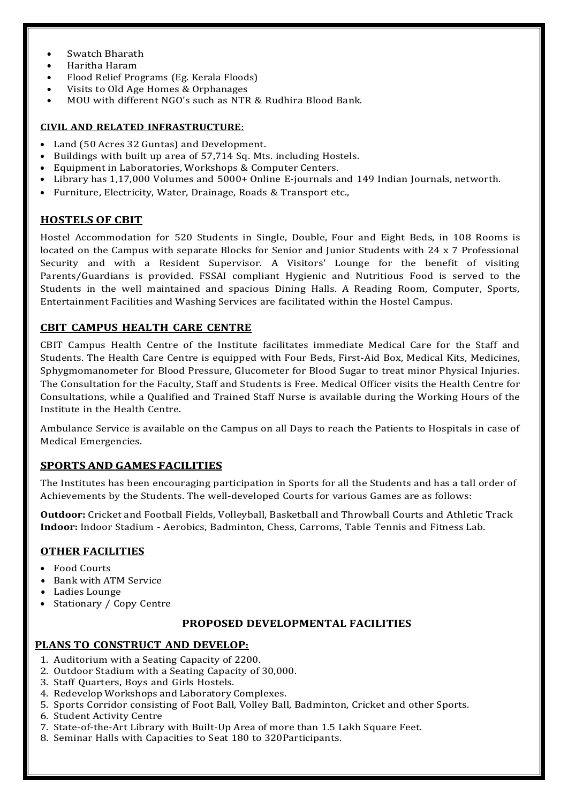- Swatch Bharath
- Haritha Haram
- Flood Relief Programs (Eg. Kerala Floods)
- Visits to Old Age Homes & Orphanages
- MOU with different NGO's such as NTR & Rudhira Blood Bank.

## **CIVIL AND RELATED INFRASTRUCTURE**:

- Land (50 Acres 32 Guntas) and Development.
- Buildings with built up area of 57,714 Sq. Mts. including Hostels.
- Equipment in Laboratories, Workshops & Computer Centers.
- Library has 1,17,000 Volumes and 5000+ Online E-journals and 149 Indian Journals, networth.
- Furniture, Electricity, Water, Drainage, Roads & Transport etc.,

# **HOSTELS OF CBIT**

Hostel Accommodation for 520 Students in Single, Double, Four and Eight Beds, in 108 Rooms is located on the Campus with separate Blocks for Senior and Junior Students with 24 x 7 Professional Security and with a Resident Supervisor. A Visitors' Lounge for the benefit of visiting Parents/Guardians is provided. FSSAI compliant Hygienic and Nutritious Food is served to the Students in the well maintained and spacious Dining Halls. A Reading Room, Computer, Sports, Entertainment Facilities and Washing Services are facilitated within the Hostel Campus.

# **CBIT CAMPUS HEALTH CARE CENTRE**

CBIT Campus Health Centre of the Institute facilitates immediate Medical Care for the Staff and Students. The Health Care Centre is equipped with Four Beds, First-Aid Box, Medical Kits, Medicines, Sphygmomanometer for Blood Pressure, Glucometer for Blood Sugar to treat minor Physical Injuries. The Consultation for the Faculty, Staff and Students is Free. Medical Officer visits the Health Centre for Consultations, while a Qualified and Trained Staff Nurse is available during the Working Hours of the Institute in the Health Centre.

Ambulance Service is available on the Campus on all Days to reach the Patients to Hospitals in case of Medical Emergencies.

# **SPORTSAND GAMES FACILITIES**

The Institutes has been encouraging participation in Sports for all the Students and has a tall order of Achievements by the Students. The well-developed Courts for various Games are as follows:

**Outdoor:** Cricket and Football Fields, Volleyball, Basketball and Throwball Courts and Athletic Track **Indoor:** Indoor Stadium - Aerobics, Badminton, Chess, Carroms, Table Tennis and Fitness Lab.

# **OTHER FACILITIES**

- Food Courts
- Bank with ATM Service
- Ladies Lounge
- Stationary / Copy Centre

# **PROPOSED DEVELOPMENTAL FACILITIES**

# **PLANS TO CONSTRUCT AND DEVELOP:**

- 1. Auditorium with a Seating Capacity of 2200.
- 2. Outdoor Stadium with a Seating Capacity of 30,000.
- 3. Staff Quarters, Boys and Girls Hostels.
- 4. Redevelop Workshops and Laboratory Complexes.
- 5. Sports Corridor consisting of Foot Ball, Volley Ball, Badminton, Cricket and other Sports.
- 6. Student Activity Centre
- 7. State-of-the-Art Library with Built-Up Area of more than 1.5 Lakh Square Feet.
- 8. Seminar Halls with Capacities to Seat 180 to 320Participants.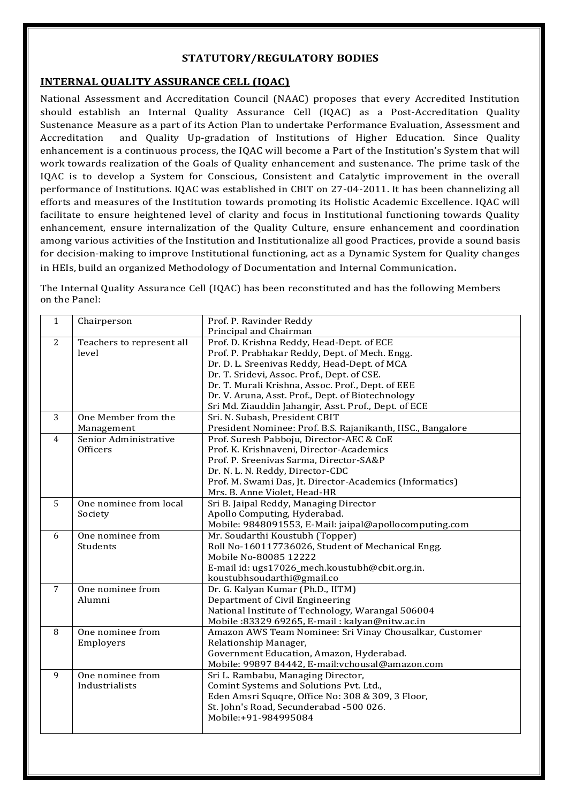# **STATUTORY/REGULATORY BODIES**

# **INTERNAL QUALITY ASSURANCE CELL (IQAC)**

National Assessment and Accreditation Council (NAAC) proposes that every Accredited Institution should establish an Internal Quality Assurance Cell (IQAC) as a Post-Accreditation Quality Sustenance Measure as a part of its Action Plan to undertake Performance Evaluation, Assessment and Accreditation and Quality Up-gradation of Institutions of Higher Education. Since Quality enhancement is a continuous process, the IQAC will become a Part of the Institution's System that will work towards realization of the Goals of Quality enhancement and sustenance. The prime task of the IQAC is to develop a System for Conscious, Consistent and Catalytic improvement in the overall performance of Institutions. IQAC was established in CBIT on 27-04-2011. It has been channelizing all efforts and measures of the Institution towards promoting its Holistic Academic Excellence. IQAC will facilitate to ensure heightened level of clarity and focus in Institutional functioning towards Quality enhancement, ensure internalization of the Quality Culture, ensure enhancement and coordination among various activities of the Institution and Institutionalize all good Practices, provide a sound basis for decision-making to improve Institutional functioning, act as a Dynamic System for Quality changes in HEIs, build an organized Methodology of Documentation and Internal Communication.

The Internal Quality Assurance Cell (IQAC) has been reconstituted and has the following Members on the Panel:

| $\mathbf{1}$   | Chairperson               | Prof. P. Ravinder Reddy                                     |
|----------------|---------------------------|-------------------------------------------------------------|
|                |                           | Principal and Chairman                                      |
| 2              | Teachers to represent all | Prof. D. Krishna Reddy, Head-Dept. of ECE                   |
|                | level                     | Prof. P. Prabhakar Reddy, Dept. of Mech. Engg.              |
|                |                           | Dr. D. L. Sreenivas Reddy, Head-Dept. of MCA                |
|                |                           | Dr. T. Sridevi, Assoc. Prof., Dept. of CSE.                 |
|                |                           | Dr. T. Murali Krishna, Assoc. Prof., Dept. of EEE           |
|                |                           | Dr. V. Aruna, Asst. Prof., Dept. of Biotechnology           |
|                |                           | Sri Md. Ziauddin Jahangir, Asst. Prof., Dept. of ECE        |
| 3              | One Member from the       | Sri. N. Subash, President CBIT                              |
|                | Management                | President Nominee: Prof. B.S. Rajanikanth, IISC., Bangalore |
| 4              | Senior Administrative     | Prof. Suresh Pabboju, Director-AEC & CoE                    |
|                | Officers                  | Prof. K. Krishnaveni, Director-Academics                    |
|                |                           | Prof. P. Sreenivas Sarma, Director-SA&P                     |
|                |                           | Dr. N. L. N. Reddy, Director-CDC                            |
|                |                           | Prof. M. Swami Das, Jt. Director-Academics (Informatics)    |
|                |                           | Mrs. B. Anne Violet, Head-HR                                |
| 5              | One nominee from local    | Sri B. Jaipal Reddy, Managing Director                      |
|                | Society                   | Apollo Computing, Hyderabad.                                |
|                |                           | Mobile: 9848091553, E-Mail: jaipal@apollocomputing.com      |
| 6              | One nominee from          | Mr. Soudarthi Koustubh (Topper)                             |
|                | Students                  | Roll No-160117736026, Student of Mechanical Engg.           |
|                |                           | Mobile No-80085 12222                                       |
|                |                           | E-mail id: ugs17026_mech.koustubh@cbit.org.in.              |
|                |                           | koustubhsoudarthi@gmail.co                                  |
| $\overline{7}$ | One nominee from          | Dr. G. Kalyan Kumar (Ph.D., IITM)                           |
|                | Alumni                    | Department of Civil Engineering                             |
|                |                           | National Institute of Technology, Warangal 506004           |
|                |                           | Mobile: 83329 69265, E-mail: kalyan@nitw.ac.in              |
| 8              | One nominee from          | Amazon AWS Team Nominee: Sri Vinay Chousalkar, Customer     |
|                | Employers                 | Relationship Manager,                                       |
|                |                           | Government Education, Amazon, Hyderabad.                    |
|                |                           | Mobile: 99897 84442, E-mail: vchousal@amazon.com            |
| 9              | One nominee from          | Sri L. Rambabu, Managing Director,                          |
|                | Industrialists            | Comint Systems and Solutions Pvt. Ltd.,                     |
|                |                           | Eden Amsri Squqre, Office No: 308 & 309, 3 Floor,           |
|                |                           | St. John's Road, Secunderabad -500 026.                     |
|                |                           | Mobile:+91-984995084                                        |
|                |                           |                                                             |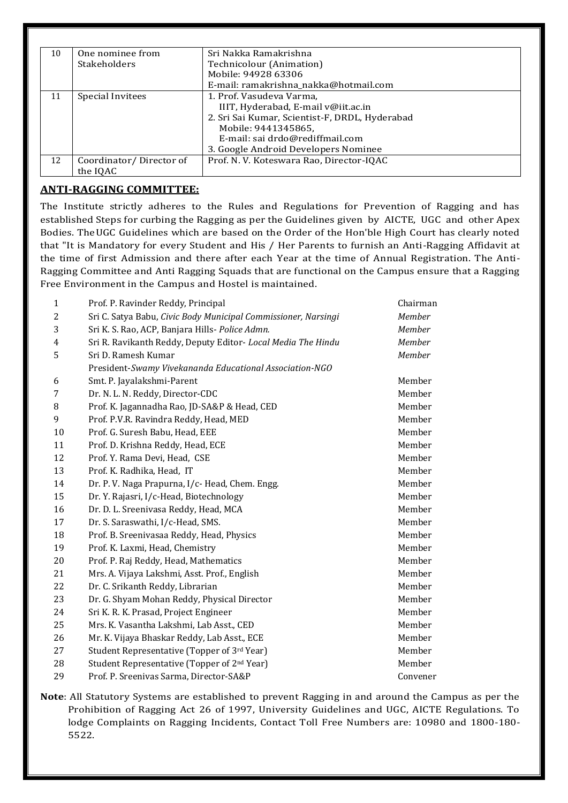| 10 | One nominee from        | Sri Nakka Ramakrishna                          |
|----|-------------------------|------------------------------------------------|
|    | <b>Stakeholders</b>     | Technicolour (Animation)                       |
|    |                         | Mobile: 94928 63306                            |
|    |                         | E-mail: ramakrishna_nakka@hotmail.com          |
| 11 | Special Invitees        | 1. Prof. Vasudeva Varma,                       |
|    |                         | IIIT, Hyderabad, E-mail v@iit.ac.in            |
|    |                         | 2. Sri Sai Kumar, Scientist-F, DRDL, Hyderabad |
|    |                         | Mobile: 9441345865,                            |
|    |                         | E-mail: sai drdo@rediffmail.com                |
|    |                         | 3. Google Android Developers Nominee           |
| 12 | Coordinator/Director of | Prof. N. V. Koteswara Rao, Director-IQAC       |
|    | the IQAC                |                                                |

# **ANTI-RAGGING COMMITTEE:**

The Institute strictly adheres to the Rules and Regulations for Prevention of Ragging and has established Steps for curbing the Ragging as per the Guidelines given by AICTE, UGC and other Apex Bodies. TheUGC Guidelines which are based on the Order of the Hon'ble High Court has clearly noted that "It is Mandatory for every Student and His / Her Parents to furnish an Anti-Ragging Affidavit at the time of first Admission and there after each Year at the time of Annual Registration. The Anti-Ragging Committee and Anti Ragging Squads that are functional on the Campus ensure that a Ragging Free Environment in the Campus and Hostel is maintained.

| $\mathbf{1}$ | Prof. P. Ravinder Reddy, Principal                             | Chairman |
|--------------|----------------------------------------------------------------|----------|
| 2            | Sri C. Satya Babu, Civic Body Municipal Commissioner, Narsingi | Member   |
| 3            | Sri K. S. Rao, ACP, Banjara Hills- Police Admn.                | Member   |
| 4            | Sri R. Ravikanth Reddy, Deputy Editor-Local Media The Hindu    | Member   |
| 5            | Sri D. Ramesh Kumar                                            | Member   |
|              | President-Swamy Vivekananda Educational Association-NGO        |          |
| 6            | Smt. P. Jayalakshmi-Parent                                     | Member   |
| 7            | Dr. N. L. N. Reddy, Director-CDC                               | Member   |
| 8            | Prof. K. Jagannadha Rao, JD-SA&P & Head, CED                   | Member   |
| 9            | Prof. P.V.R. Ravindra Reddy, Head, MED                         | Member   |
| 10           | Prof. G. Suresh Babu, Head, EEE                                | Member   |
| 11           | Prof. D. Krishna Reddy, Head, ECE                              | Member   |
| 12           | Prof. Y. Rama Devi, Head, CSE                                  | Member   |
| 13           | Prof. K. Radhika, Head, IT                                     | Member   |
| 14           | Dr. P. V. Naga Prapurna, I/c- Head, Chem. Engg.                | Member   |
| 15           | Dr. Y. Rajasri, I/c-Head, Biotechnology                        | Member   |
| 16           | Dr. D. L. Sreenivasa Reddy, Head, MCA                          | Member   |
| 17           | Dr. S. Saraswathi, I/c-Head, SMS.                              | Member   |
| 18           | Prof. B. Sreenivasaa Reddy, Head, Physics                      | Member   |
| 19           | Prof. K. Laxmi, Head, Chemistry                                | Member   |
| 20           | Prof. P. Raj Reddy, Head, Mathematics                          | Member   |
| 21           | Mrs. A. Vijaya Lakshmi, Asst. Prof., English                   | Member   |
| 22           | Dr. C. Srikanth Reddy, Librarian                               | Member   |
| 23           | Dr. G. Shyam Mohan Reddy, Physical Director                    | Member   |
| 24           | Sri K. R. K. Prasad, Project Engineer                          | Member   |
| 25           | Mrs. K. Vasantha Lakshmi, Lab Asst., CED                       | Member   |
| 26           | Mr. K. Vijaya Bhaskar Reddy, Lab Asst., ECE                    | Member   |
| 27           | Student Representative (Topper of 3rd Year)                    | Member   |
| 28           | Student Representative (Topper of 2 <sup>nd</sup> Year)        | Member   |
| 29           | Prof. P. Sreenivas Sarma, Director-SA&P                        | Convener |
|              |                                                                |          |

**Note**: All Statutory Systems are established to prevent Ragging in and around the Campus as per the Prohibition of Ragging Act 26 of 1997, University Guidelines and UGC, AICTE Regulations. To lodge Complaints on Ragging Incidents, Contact Toll Free Numbers are: 10980 and 1800-180- 5522.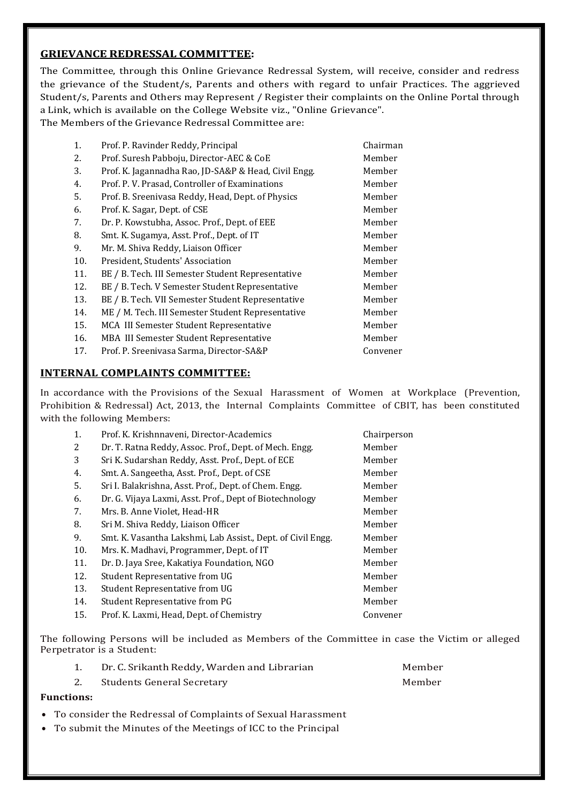# **GRIEVANCE REDRESSAL COMMITTEE:**

The Committee, through this Online Grievance Redressal System, will receive, consider and redress the grievance of the Student/s, Parents and others with regard to unfair Practices. The aggrieved Student/s, Parents and Others may Represent / Register their complaints on the Online Portal through a Link, which is available on the College Website viz., "Online Grievance". The Members of the Grievance Redressal Committee are:

| 1.  | Prof. P. Ravinder Reddy, Principal                   | Chairman |
|-----|------------------------------------------------------|----------|
| 2.  | Prof. Suresh Pabboju, Director-AEC & CoE             | Member   |
| 3.  | Prof. K. Jagannadha Rao, JD-SA&P & Head, Civil Engg. | Member   |
| 4.  | Prof. P. V. Prasad, Controller of Examinations       | Member   |
| 5.  | Prof. B. Sreenivasa Reddy, Head, Dept. of Physics    | Member   |
| 6.  | Prof. K. Sagar, Dept. of CSE                         | Member   |
| 7.  | Dr. P. Kowstubha, Assoc. Prof., Dept. of EEE         | Member   |
| 8.  | Smt. K. Sugamya, Asst. Prof., Dept. of IT            | Member   |
| 9.  | Mr. M. Shiva Reddy, Liaison Officer                  | Member   |
| 10. | President, Students' Association                     | Member   |
| 11. | BE / B. Tech. III Semester Student Representative    | Member   |
| 12. | BE / B. Tech. V Semester Student Representative      | Member   |
| 13. | BE / B. Tech. VII Semester Student Representative    | Member   |
| 14. | ME / M. Tech. III Semester Student Representative    | Member   |
| 15. | MCA III Semester Student Representative              | Member   |
| 16. | MBA III Semester Student Representative              | Member   |
| 17. | Prof. P. Sreenivasa Sarma, Director-SA&P             | Convener |

# **INTERNAL COMPLAINTS COMMITTEE:**

In accordance with the Provisions of the Sexual Harassment of Women at Workplace (Prevention, Prohibition & Redressal) Act, 2013, the Internal Complaints Committee of CBIT, has been constituted with the following Members:

| 1.  | Prof. K. Krishnnaveni, Director-Academics                   | Chairperson |
|-----|-------------------------------------------------------------|-------------|
| 2   | Dr. T. Ratna Reddy, Assoc. Prof., Dept. of Mech. Engg.      | Member      |
| 3   | Sri K. Sudarshan Reddy, Asst. Prof., Dept. of ECE           | Member      |
| 4.  | Smt. A. Sangeetha, Asst. Prof., Dept. of CSE                | Member      |
| 5.  | Sri I. Balakrishna, Asst. Prof., Dept. of Chem. Engg.       | Member      |
| 6.  | Dr. G. Vijaya Laxmi, Asst. Prof., Dept of Biotechnology     | Member      |
| 7.  | Mrs. B. Anne Violet, Head-HR                                | Member      |
| 8.  | Sri M. Shiva Reddy, Liaison Officer                         | Member      |
| 9.  | Smt. K. Vasantha Lakshmi, Lab Assist., Dept. of Civil Engg. | Member      |
| 10. | Mrs. K. Madhavi, Programmer, Dept. of IT                    | Member      |
| 11. | Dr. D. Jaya Sree, Kakatiya Foundation, NGO                  | Member      |
| 12. | Student Representative from UG                              | Member      |
| 13. | Student Representative from UG                              | Member      |
| 14. | Student Representative from PG                              | Member      |
| 15. | Prof. K. Laxmi, Head, Dept. of Chemistry                    | Convener    |
|     |                                                             |             |

The following Persons will be included as Members of the Committee in case the Victim or alleged Perpetrator is a Student:

|    | Dr. C. Srikanth Reddy, Warden and Librarian | Member |
|----|---------------------------------------------|--------|
| 2. | <b>Students General Secretary</b>           | Member |

## **Functions:**

- To consider the Redressal of Complaints of Sexual Harassment
- To submit the Minutes of the Meetings of ICC to the Principal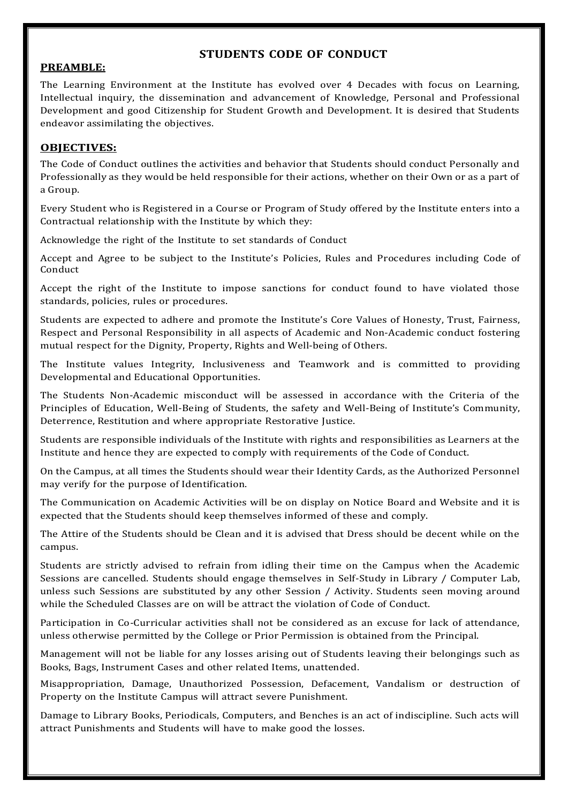# **STUDENTS CODE OF CONDUCT**

# **PREAMBLE:**

The Learning Environment at the Institute has evolved over 4 Decades with focus on Learning, Intellectual inquiry, the dissemination and advancement of Knowledge, Personal and Professional Development and good Citizenship for Student Growth and Development. It is desired that Students endeavor assimilating the objectives.

# **OBJECTIVES:**

The Code of Conduct outlines the activities and behavior that Students should conduct Personally and Professionally as they would be held responsible for their actions, whether on their Own or as a part of a Group.

Every Student who is Registered in a Course or Program of Study offered by the Institute enters into a Contractual relationship with the Institute by which they:

Acknowledge the right of the Institute to set standards of Conduct

Accept and Agree to be subject to the Institute's Policies, Rules and Procedures including Code of Conduct

Accept the right of the Institute to impose sanctions for conduct found to have violated those standards, policies, rules or procedures.

Students are expected to adhere and promote the Institute's Core Values of Honesty, Trust, Fairness, Respect and Personal Responsibility in all aspects of Academic and Non-Academic conduct fostering mutual respect for the Dignity, Property, Rights and Well-being of Others.

The Institute values Integrity, Inclusiveness and Teamwork and is committed to providing Developmental and Educational Opportunities.

The Students Non-Academic misconduct will be assessed in accordance with the Criteria of the Principles of Education, Well-Being of Students, the safety and Well-Being of Institute's Community, Deterrence, Restitution and where appropriate Restorative Justice.

Students are responsible individuals of the Institute with rights and responsibilities as Learners at the Institute and hence they are expected to comply with requirements of the Code of Conduct.

On the Campus, at all times the Students should wear their Identity Cards, as the Authorized Personnel may verify for the purpose of Identification.

The Communication on Academic Activities will be on display on Notice Board and Website and it is expected that the Students should keep themselves informed of these and comply.

The Attire of the Students should be Clean and it is advised that Dress should be decent while on the campus.

Students are strictly advised to refrain from idling their time on the Campus when the Academic Sessions are cancelled. Students should engage themselves in Self-Study in Library / Computer Lab, unless such Sessions are substituted by any other Session / Activity. Students seen moving around while the Scheduled Classes are on will be attract the violation of Code of Conduct.

Participation in Co-Curricular activities shall not be considered as an excuse for lack of attendance, unless otherwise permitted by the College or Prior Permission is obtained from the Principal.

Management will not be liable for any losses arising out of Students leaving their belongings such as Books, Bags, Instrument Cases and other related Items, unattended.

Misappropriation, Damage, Unauthorized Possession, Defacement, Vandalism or destruction of Property on the Institute Campus will attract severe Punishment.

Damage to Library Books, Periodicals, Computers, and Benches is an act of indiscipline. Such acts will attract Punishments and Students will have to make good the losses.